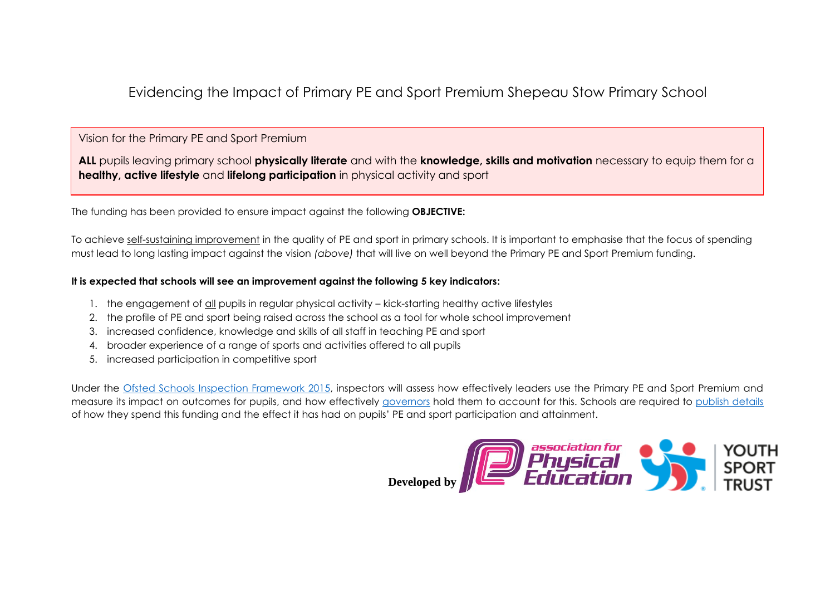Evidencing the Impact of Primary PE and Sport Premium Shepeau Stow Primary School

# Vision for the Primary PE and Sport Premium

**ALL** pupils leaving primary school **physically literate** and with the **knowledge, skills and motivation** necessary to equip them for a **healthy, active lifestyle** and **lifelong participation** in physical activity and sport

The funding has been provided to ensure impact against the following **OBJECTIVE:**

To achieve self-sustaining improvement in the quality of PE and sport in primary schools. It is important to emphasise that the focus of spending must lead to long lasting impact against the vision *(above)* that will live on well beyond the Primary PE and Sport Premium funding.

### **It is expected that schools will see an improvement against the following 5 key indicators:**

- 1. the engagement of all pupils in regular physical activity kick-starting healthy active lifestyles
- 2. the profile of PE and sport being raised across the school as a tool for whole school improvement
- 3. increased confidence, knowledge and skills of all staff in teaching PE and sport
- 4. broader experience of a range of sports and activities offered to all pupils
- 5. increased participation in competitive sport

Under the [Ofsted Schools Inspection Framework](https://www.gov.uk/government/publications/school-inspection-handbook-from-september-2015) 2015, inspectors will assess how effectively leaders use the Primary PE and Sport Premium and measure its impact on outcomes for pupils, and how effectively [governors](https://www.gov.uk/government/publications/governance-handbook) hold them to account for this. Schools are required to [publish details](https://www.gov.uk/guidance/what-maintained-schools-must-publish-online#pe-and-sport-premium-for-primary-schools) of how they spend this funding and the effect it has had on pupils' PE and sport participation and attainment.

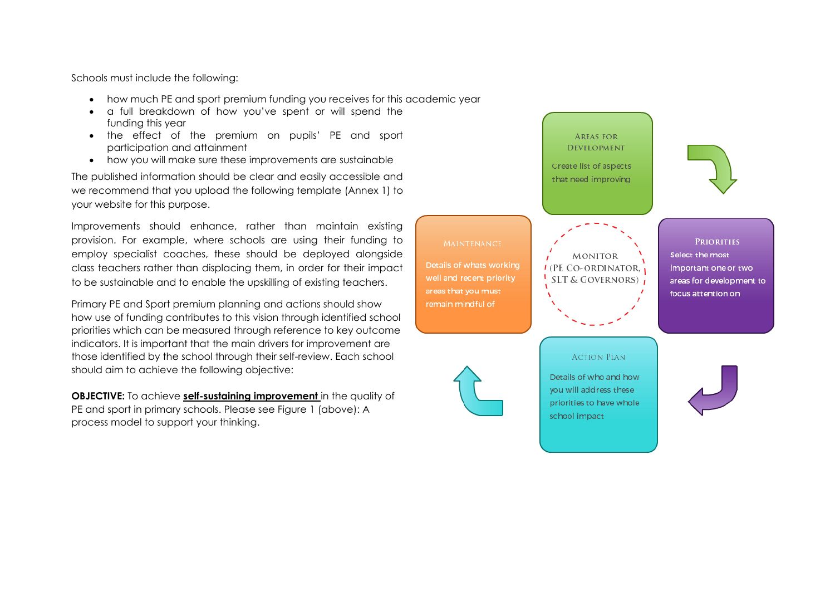Schools must include the following:

- how much PE and sport premium funding you receives for this academic year
- a full breakdown of how you've spent or will spend the funding this year
- the effect of the premium on pupils' PE and sport participation and attainment
- how you will make sure these improvements are sustainable

The published information should be clear and easily accessible and we recommend that you upload the following template (Annex 1) to your website for this purpose.

Improvements should enhance, rather than maintain existing provision. For example, where schools are using their funding to employ specialist coaches, these should be deployed alongside class teachers rather than displacing them, in order for their impact to be sustainable and to enable the upskilling of existing teachers.

Primary PE and Sport premium planning and actions should show how use of funding contributes to this vision through identified school priorities which can be measured through reference to key outcome indicators. It is important that the main drivers for improvement are those identified by the school through their self-review. Each school should aim to achieve the following objective:

**OBJECTIVE:** To achieve **self-sustaining improvement** in the quality of PE and sport in primary schools. Please see Figure 1 (above): A process model to support your thinking.

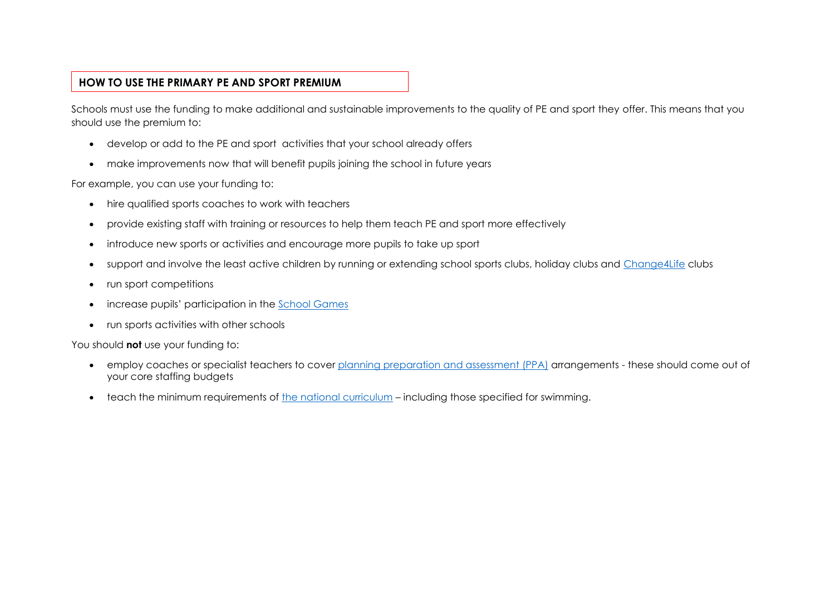# **HOW TO USE THE PRIMARY PE AND SPORT PREMIUM**

Schools must use the funding to make additional and sustainable improvements to the quality of PE and sport they offer. This means that you should use the premium to:

- develop or add to the PE and sport activities that your school already offers
- make improvements now that will benefit pupils joining the school in future years

For example, you can use your funding to:

- hire qualified sports coaches to work with teachers
- provide existing staff with training or resources to help them teach PE and sport more effectively
- introduce new sports or activities and encourage more pupils to take up sport
- support and involve the least active children by running or extending school sports clubs, holiday clubs and [Change4Life](http://www.nhs.uk/change4life/Pages/change-for-life.aspx) clubs
- run sport competitions
- increase pupils' participation in the [School Games](https://www.gov.uk/government/policies/getting-more-people-playing-sport/supporting-pages/the-school-games)
- run sports activities with other schools

You should **not** use your funding to:

- employ coaches or specialist teachers to cover [planning preparation and assessment \(PPA\)](https://www.gov.uk/government/uploads/system/uploads/attachment_data/file/341951/School_teachers__pay_and_conditions_2014.pdf) arrangements these should come out of your core staffing budgets
- teach the minimum requirements of [the national curriculum](https://www.gov.uk/government/publications/national-curriculum-in-england-physical-education-programmes-of-study) including those specified for swimming.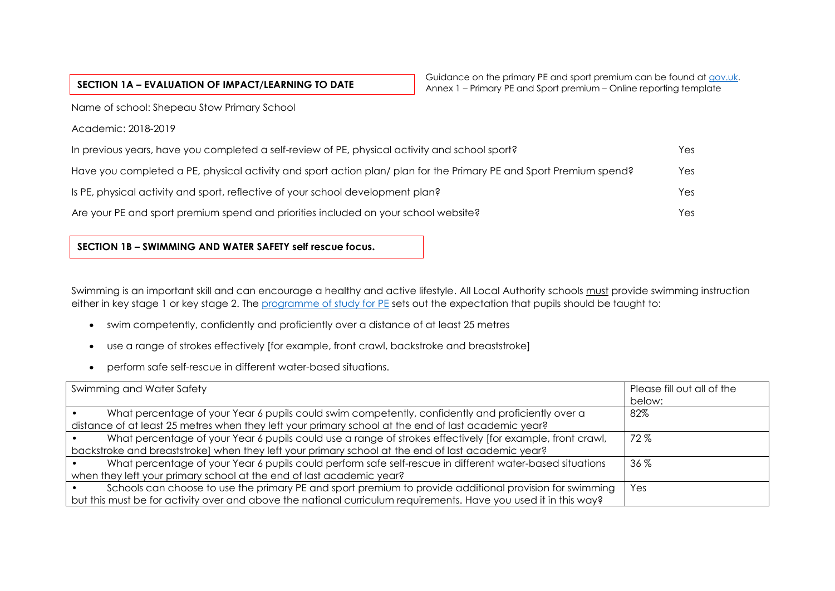|  | SECTION 1A - EVALUATION OF IMPACT/LEARNING TO DATE |  |
|--|----------------------------------------------------|--|
|--|----------------------------------------------------|--|

Name of school: Shepeau Stow Primary School

Academic: 2018-2019

| In previous years, have you completed a self-review of PE, physical activity and school sport?                    | Yes  |
|-------------------------------------------------------------------------------------------------------------------|------|
| Have you completed a PE, physical activity and sport action plan/plan for the Primary PE and Sport Premium spend? | Yes: |
| Is PE, physical activity and sport, reflective of your school development plan?                                   | Yes  |
| Are your PE and sport premium spend and priorities included on your school website?                               | Yes: |

## **SECTION 1B – SWIMMING AND WATER SAFETY self rescue focus.**

Swimming is an important skill and can encourage a healthy and active lifestyle. All Local Authority schools must provide swimming instruction either in key stage 1 or key stage 2. The [programme of study for PE](https://www.gov.uk/government/publications/national-curriculum-in-england-physical-education-programmes-of-study/national-curriculum-in-england-physical-education-programmes-of-study) sets out the expectation that pupils should be taught to:

- swim competently, confidently and proficiently over a distance of at least 25 metres
- use a range of strokes effectively [for example, front crawl, backstroke and breaststroke]
- perform safe self-rescue in different water-based situations.

| Swimming and Water Safety                                                                                        | Please fill out all of the<br>below: |
|------------------------------------------------------------------------------------------------------------------|--------------------------------------|
| What percentage of your Year 6 pupils could swim competently, confidently and proficiently over a                | 82%                                  |
| distance of at least 25 metres when they left your primary school at the end of last academic year?              |                                      |
| What percentage of your Year 6 pupils could use a range of strokes effectively [for example, front crawl,        | 72%                                  |
| backstroke and breaststroke] when they left your primary school at the end of last academic year?                |                                      |
| What percentage of your Year 6 pupils could perform safe self-rescue in different water-based situations         | $36\%$                               |
| when they left your primary school at the end of last academic year?                                             |                                      |
| Schools can choose to use the primary PE and sport premium to provide additional provision for swimming          | Yes                                  |
| but this must be for activity over and above the national curriculum requirements. Have you used it in this way? |                                      |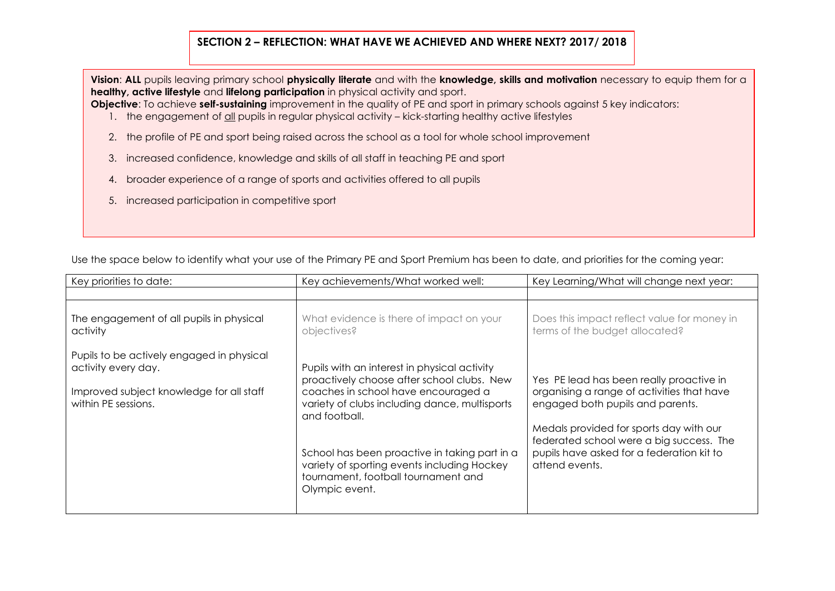## **SECTION 2 – REFLECTION: WHAT HAVE WE ACHIEVED AND WHERE NEXT? 2017/ 2018**

**Vision**: **ALL** pupils leaving primary school **physically literate** and with the **knowledge, skills and motivation** necessary to equip them for a **healthy, active lifestyle** and **lifelong participation** in physical activity and sport.

**Objective:** To achieve **self-sustaining** improvement in the quality of PE and sport in primary schools against 5 key indicators:

- 1. the engagement of all pupils in regular physical activity kick-starting healthy active lifestyles
- 2. the profile of PE and sport being raised across the school as a tool for whole school improvement
- 3. increased confidence, knowledge and skills of all staff in teaching PE and sport
- 4. broader experience of a range of sports and activities offered to all pupils
- 5. increased participation in competitive sport

| Key priorities to date:                                                                                                             | Key achievements/What worked well:                                                                                                                                                                                                                                                                                                                           | Key Learning/What will change next year:                                                                                                                                                                                                                                         |  |  |
|-------------------------------------------------------------------------------------------------------------------------------------|--------------------------------------------------------------------------------------------------------------------------------------------------------------------------------------------------------------------------------------------------------------------------------------------------------------------------------------------------------------|----------------------------------------------------------------------------------------------------------------------------------------------------------------------------------------------------------------------------------------------------------------------------------|--|--|
|                                                                                                                                     |                                                                                                                                                                                                                                                                                                                                                              |                                                                                                                                                                                                                                                                                  |  |  |
| The engagement of all pupils in physical<br>activity                                                                                | What evidence is there of impact on your<br>objectives?                                                                                                                                                                                                                                                                                                      | Does this impact reflect value for money in<br>terms of the budget allocated?                                                                                                                                                                                                    |  |  |
| Pupils to be actively engaged in physical<br>activity every day.<br>Improved subject knowledge for all staff<br>within PE sessions. | Pupils with an interest in physical activity<br>proactively choose after school clubs. New<br>coaches in school have encouraged a<br>variety of clubs including dance, multisports<br>and football.<br>School has been proactive in taking part in a<br>variety of sporting events including Hockey<br>tournament, football tournament and<br>Olympic event. | Yes PE lead has been really proactive in<br>organising a range of activities that have<br>engaged both pupils and parents.<br>Medals provided for sports day with our<br>federated school were a big success. The<br>pupils have asked for a federation kit to<br>attend events. |  |  |

Use the space below to identify what your use of the Primary PE and Sport Premium has been to date, and priorities for the coming year: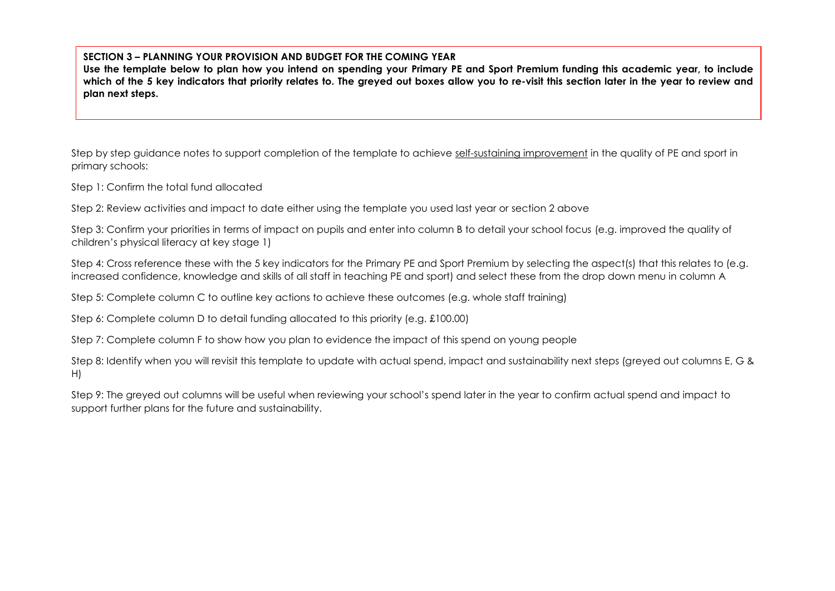### **SECTION 3 – PLANNING YOUR PROVISION AND BUDGET FOR THE COMING YEAR**

**Use the template below to plan how you intend on spending your Primary PE and Sport Premium funding this academic year, to include which of the 5 key indicators that priority relates to. The greyed out boxes allow you to re-visit this section later in the year to review and plan next steps.**

Step by step guidance notes to support completion of the template to achieve self-sustaining improvement in the quality of PE and sport in primary schools:

Step 1: Confirm the total fund allocated

Step 2: Review activities and impact to date either using the template you used last year or section 2 above

Step 3: Confirm your priorities in terms of impact on pupils and enter into column B to detail your school focus (e.g. improved the quality of children's physical literacy at key stage 1)

Step 4: Cross reference these with the 5 key indicators for the Primary PE and Sport Premium by selecting the aspect(s) that this relates to (e.g. increased confidence, knowledge and skills of all staff in teaching PE and sport) and select these from the drop down menu in column A

Step 5: Complete column C to outline key actions to achieve these outcomes (e.g. whole staff training)

Step 6: Complete column D to detail funding allocated to this priority (e.g. £100.00)

Step 7: Complete column F to show how you plan to evidence the impact of this spend on young people

Step 8: Identify when you will revisit this template to update with actual spend, impact and sustainability next steps (greyed out columns E, G & H)

Step 9: The greyed out columns will be useful when reviewing your school's spend later in the year to confirm actual spend and impact to support further plans for the future and sustainability.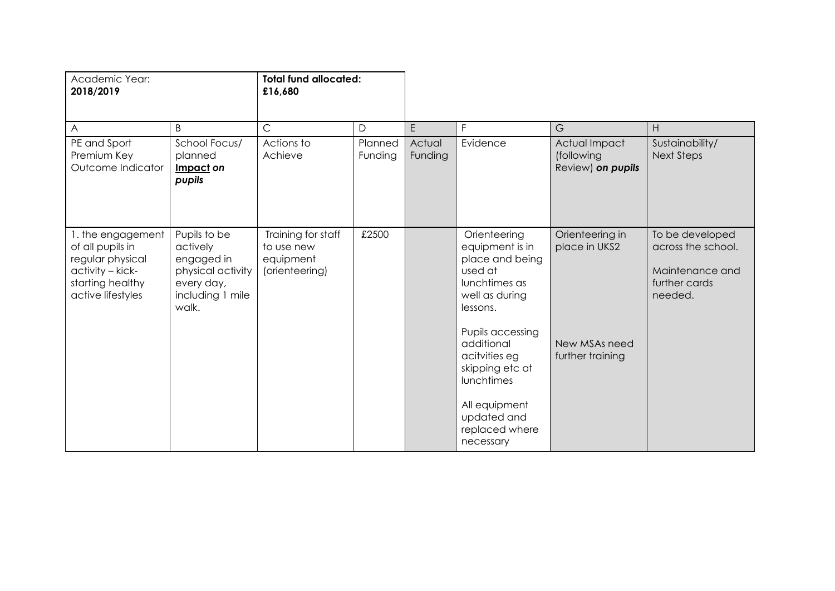|                                                                                                        | £16,680                                                         |                    |                              |                                                                                                                  |                                                  |                                                                                      |
|--------------------------------------------------------------------------------------------------------|-----------------------------------------------------------------|--------------------|------------------------------|------------------------------------------------------------------------------------------------------------------|--------------------------------------------------|--------------------------------------------------------------------------------------|
| B                                                                                                      | $\mathsf C$                                                     | D                  | E                            | F                                                                                                                | G                                                | H                                                                                    |
| School Focus/<br>planned<br>Impact on<br>pupils                                                        | Actions to<br>Achieve                                           | Planned<br>Funding | Actual<br>Funding            | Evidence                                                                                                         | Actual Impact<br>(following<br>Review) on pupils | Sustainability/<br><b>Next Steps</b>                                                 |
| Pupils to be<br>actively<br>engaged in<br>physical activity<br>every day,<br>including 1 mile<br>walk. | Training for staff<br>to use new<br>equipment<br>(orienteering) | £2500              |                              | Orienteering<br>equipment is in<br>place and being<br>used at<br>lunchtimes as<br>well as during<br>lessons.     | Orienteering in<br>place in UKS2                 | To be developed<br>across the school.<br>Maintenance and<br>further cards<br>needed. |
|                                                                                                        |                                                                 |                    |                              | Pupils accessing<br>additional<br>acitvities eg<br>skipping etc at<br>lunchtimes<br>All equipment<br>updated and | New MSAs need<br>further training                |                                                                                      |
|                                                                                                        |                                                                 |                    | <b>Total fund allocated:</b> |                                                                                                                  | replaced where<br>necessary                      |                                                                                      |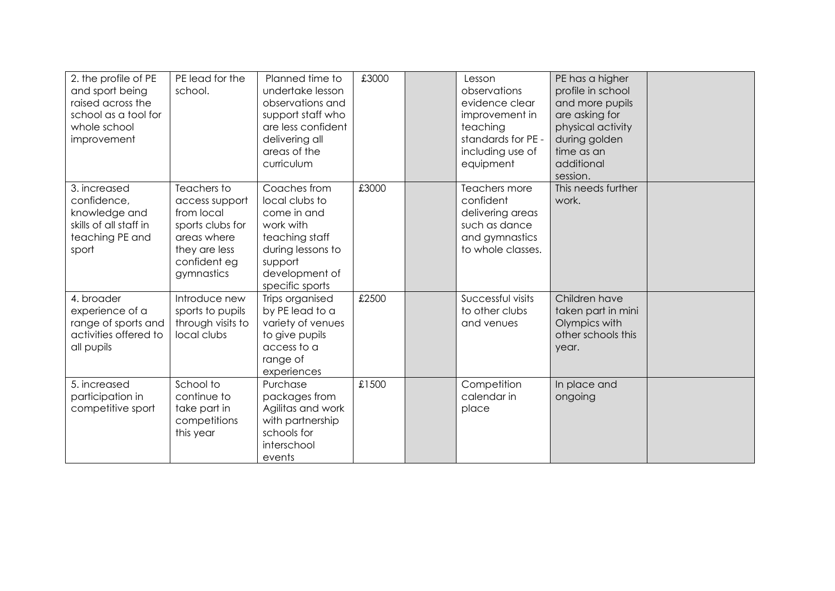| 2. the profile of PE<br>and sport being<br>raised across the<br>school as a tool for<br>whole school<br>improvement | PE lead for the<br>school.                                                                                                    | Planned time to<br>undertake lesson<br>observations and<br>support staff who<br>are less confident<br>delivering all<br>areas of the<br>curriculum | £3000 | Lesson<br>observations<br>evidence clear<br>improvement in<br>teaching<br>standards for PE -<br>including use of<br>equipment | PE has a higher<br>profile in school<br>and more pupils<br>are asking for<br>physical activity<br>during golden<br>time as an<br>additional<br>session. |  |
|---------------------------------------------------------------------------------------------------------------------|-------------------------------------------------------------------------------------------------------------------------------|----------------------------------------------------------------------------------------------------------------------------------------------------|-------|-------------------------------------------------------------------------------------------------------------------------------|---------------------------------------------------------------------------------------------------------------------------------------------------------|--|
| 3. increased<br>confidence,<br>knowledge and<br>skills of all staff in<br>teaching PE and<br>sport                  | Teachers to<br>access support<br>from local<br>sports clubs for<br>areas where<br>they are less<br>confident eg<br>gymnastics | Coaches from<br>local clubs to<br>come in and<br>work with<br>teaching staff<br>during lessons to<br>support<br>development of<br>specific sports  | £3000 | Teachers more<br>confident<br>delivering areas<br>such as dance<br>and gymnastics<br>to whole classes.                        | This needs further<br>work.                                                                                                                             |  |
| 4. broader<br>experience of a<br>range of sports and<br>activities offered to<br>all pupils                         | Introduce new<br>sports to pupils<br>through visits to<br>local clubs                                                         | Trips organised<br>by PE lead to a<br>variety of venues<br>to give pupils<br>access to a<br>range of<br>experiences                                | £2500 | Successful visits<br>to other clubs<br>and venues                                                                             | Children have<br>taken part in mini<br>Olympics with<br>other schools this<br>year.                                                                     |  |
| 5. increased<br>participation in<br>competitive sport                                                               | School to<br>continue to<br>take part in<br>competitions<br>this year                                                         | Purchase<br>packages from<br>Agilitas and work<br>with partnership<br>schools for<br>interschool<br>events                                         | £1500 | Competition<br>calendar in<br>place                                                                                           | In place and<br>ongoing                                                                                                                                 |  |